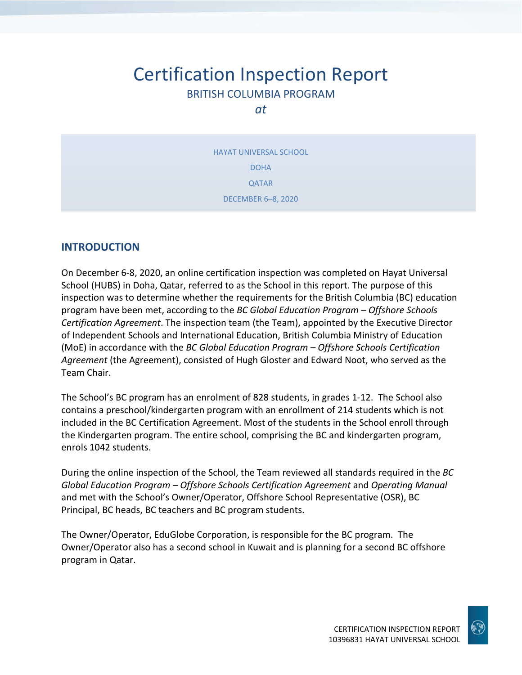# Certification Inspection Report BRITISH COLUMBIA PROGRAM

*at*

HAYAT UNIVERSAL SCHOOL DOHA QATAR DECEMBER 6–8, 2020

#### **INTRODUCTION**

On December 6-8, 2020, an online certification inspection was completed on Hayat Universal School (HUBS) in Doha, Qatar, referred to as the School in this report. The purpose of this inspection was to determine whether the requirements for the British Columbia (BC) education program have been met, according to the *BC Global Education Program – Offshore Schools Certification Agreement*. The inspection team (the Team), appointed by the Executive Director of Independent Schools and International Education, British Columbia Ministry of Education (MoE) in accordance with the *BC Global Education Program – Offshore Schools Certification Agreement* (the Agreement), consisted of Hugh Gloster and Edward Noot, who served as the Team Chair.

The School's BC program has an enrolment of 828 students, in grades 1-12. The School also contains a preschool/kindergarten program with an enrollment of 214 students which is not included in the BC Certification Agreement. Most of the students in the School enroll through the Kindergarten program. The entire school, comprising the BC and kindergarten program, enrols 1042 students.

During the online inspection of the School, the Team reviewed all standards required in the *BC Global Education Program – Offshore Schools Certification Agreement* and *Operating Manual*  and met with the School's Owner/Operator, Offshore School Representative (OSR), BC Principal, BC heads, BC teachers and BC program students.

The Owner/Operator, EduGlobe Corporation, is responsible for the BC program. The Owner/Operator also has a second school in Kuwait and is planning for a second BC offshore program in Qatar.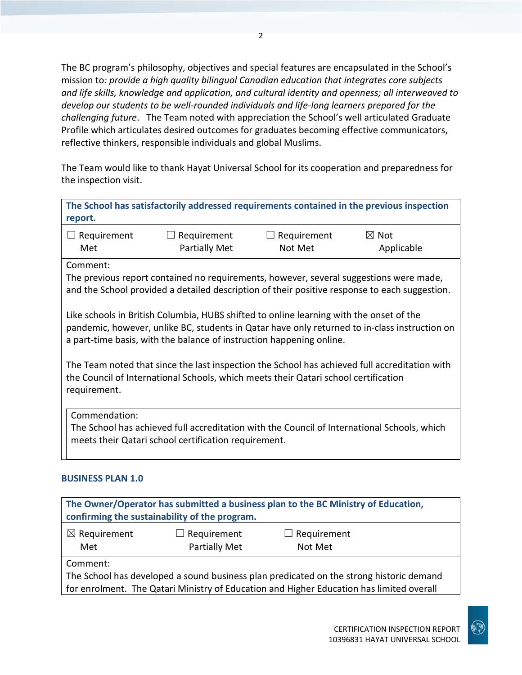The BC program's philosophy, objectives and special features are encapsulated in the School's mission to*: provide a high quality bilingual Canadian education that integrates core subjects and life skills, knowledge and application, and cultural identity and openness; all interweaved to develop our students to be well-rounded individuals and life-long learners prepared for the challenging future*. The Team noted with appreciation the School's well articulated Graduate Profile which articulates desired outcomes for graduates becoming effective communicators, reflective thinkers, responsible individuals and global Muslims.

The Team would like to thank Hayat Universal School for its cooperation and preparedness for the inspection visit.

**The School has satisfactorily addressed requirements contained in the previous inspection report.**

| $\Box$ Requirement | $\Box$ Requirement   | $\Box$ Requirement | $\boxtimes$ Not |
|--------------------|----------------------|--------------------|-----------------|
| Met                | <b>Partially Met</b> | Not Met            | Applicable      |

#### Comment:

The previous report contained no requirements, however, several suggestions were made, and the School provided a detailed description of their positive response to each suggestion.

Like schools in British Columbia, HUBS shifted to online learning with the onset of the pandemic, however, unlike BC, students in Qatar have only returned to in-class instruction on a part-time basis, with the balance of instruction happening online.

The Team noted that since the last inspection the School has achieved full accreditation with the Council of International Schools, which meets their Qatari school certification requirement.

Commendation:

The School has achieved full accreditation with the Council of International Schools, which meets their Qatari school certification requirement.

#### **BUSINESS PLAN 1.0**

| The Owner/Operator has submitted a business plan to the BC Ministry of Education,<br>confirming the sustainability of the program. |                                     |                                                                                                                                                                                     |  |
|------------------------------------------------------------------------------------------------------------------------------------|-------------------------------------|-------------------------------------------------------------------------------------------------------------------------------------------------------------------------------------|--|
| $\boxtimes$ Requirement<br>Met                                                                                                     | $\Box$ Requirement<br>Partially Met | $\Box$ Requirement<br>Not Met                                                                                                                                                       |  |
| Comment:                                                                                                                           |                                     | The School has developed a sound business plan predicated on the strong historic demand<br>for enrolment. The Qatari Ministry of Education and Higher Education has limited overall |  |

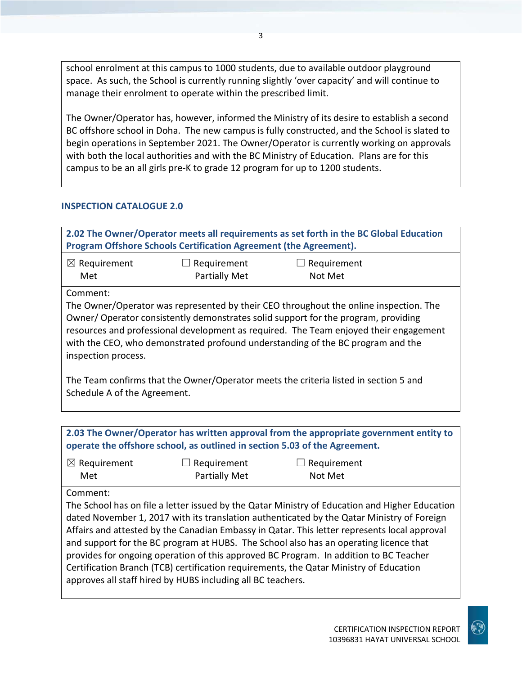school enrolment at this campus to 1000 students, due to available outdoor playground space. As such, the School is currently running slightly 'over capacity' and will continue to manage their enrolment to operate within the prescribed limit.

The Owner/Operator has, however, informed the Ministry of its desire to establish a second BC offshore school in Doha. The new campus is fully constructed, and the School is slated to begin operations in September 2021. The Owner/Operator is currently working on approvals with both the local authorities and with the BC Ministry of Education. Plans are for this campus to be an all girls pre-K to grade 12 program for up to 1200 students.

#### **INSPECTION CATALOGUE 2.0**

| 2.02 The Owner/Operator meets all requirements as set forth in the BC Global Education<br>Program Offshore Schools Certification Agreement (the Agreement).                                                                                                                                                                                                                   |                                     |                                                                                      |  |
|-------------------------------------------------------------------------------------------------------------------------------------------------------------------------------------------------------------------------------------------------------------------------------------------------------------------------------------------------------------------------------|-------------------------------------|--------------------------------------------------------------------------------------|--|
| $\boxtimes$ Requirement<br>Met                                                                                                                                                                                                                                                                                                                                                | Requirement<br><b>Partially Met</b> | Requirement<br>Not Met                                                               |  |
| Comment:                                                                                                                                                                                                                                                                                                                                                                      |                                     |                                                                                      |  |
| The Owner/Operator was represented by their CEO throughout the online inspection. The<br>Owner/Operator consistently demonstrates solid support for the program, providing<br>resources and professional development as required. The Team enjoyed their engagement<br>with the CEO, who demonstrated profound understanding of the BC program and the<br>inspection process. |                                     |                                                                                      |  |
| Schedule A of the Agreement.                                                                                                                                                                                                                                                                                                                                                  |                                     | The Team confirms that the Owner/Operator meets the criteria listed in section 5 and |  |

| 2.03 The Owner/Operator has written approval from the appropriate government entity to<br>operate the offshore school, as outlined in section 5.03 of the Agreement. |                                                                                                                                                                                                                                                                                                                                                                                                                                                                                                                                                                                                                                         |                        |  |
|----------------------------------------------------------------------------------------------------------------------------------------------------------------------|-----------------------------------------------------------------------------------------------------------------------------------------------------------------------------------------------------------------------------------------------------------------------------------------------------------------------------------------------------------------------------------------------------------------------------------------------------------------------------------------------------------------------------------------------------------------------------------------------------------------------------------------|------------------------|--|
| $\boxtimes$ Requirement<br>Met                                                                                                                                       | $\Box$ Requirement<br>Partially Met                                                                                                                                                                                                                                                                                                                                                                                                                                                                                                                                                                                                     | Requirement<br>Not Met |  |
| Comment:                                                                                                                                                             | The School has on file a letter issued by the Qatar Ministry of Education and Higher Education<br>dated November 1, 2017 with its translation authenticated by the Qatar Ministry of Foreign<br>Affairs and attested by the Canadian Embassy in Qatar. This letter represents local approval<br>and support for the BC program at HUBS. The School also has an operating licence that<br>provides for ongoing operation of this approved BC Program. In addition to BC Teacher<br>Certification Branch (TCB) certification requirements, the Qatar Ministry of Education<br>approves all staff hired by HUBS including all BC teachers. |                        |  |

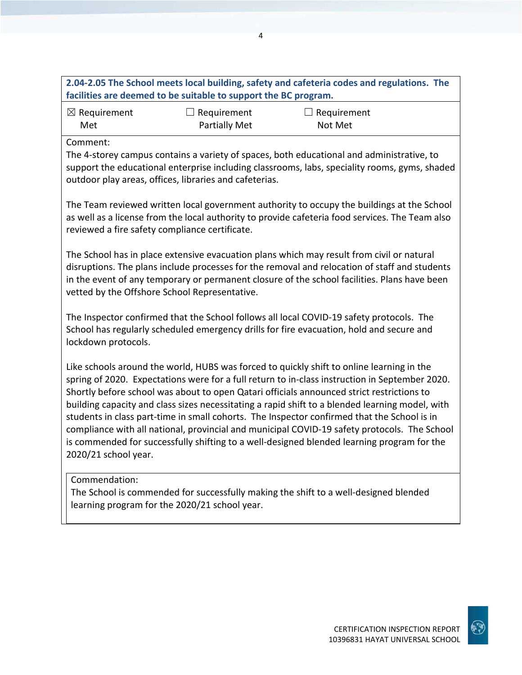#### **2.04-2.05 The School meets local building, safety and cafeteria codes and regulations. The facilities are deemed to be suitable to support the BC program.** ☒ Requirement  $\Box$  Requirement  $\Box$  Requirement

Partially Met

Comment:

Met

The 4-storey campus contains a variety of spaces, both educational and administrative, to support the educational enterprise including classrooms, labs, speciality rooms, gyms, shaded outdoor play areas, offices, libraries and cafeterias.

Not Met

The Team reviewed written local government authority to occupy the buildings at the School as well as a license from the local authority to provide cafeteria food services. The Team also reviewed a fire safety compliance certificate.

The School has in place extensive evacuation plans which may result from civil or natural disruptions. The plans include processes for the removal and relocation of staff and students in the event of any temporary or permanent closure of the school facilities. Plans have been vetted by the Offshore School Representative.

The Inspector confirmed that the School follows all local COVID-19 safety protocols. The School has regularly scheduled emergency drills for fire evacuation, hold and secure and lockdown protocols.

Like schools around the world, HUBS was forced to quickly shift to online learning in the spring of 2020. Expectations were for a full return to in-class instruction in September 2020. Shortly before school was about to open Qatari officials announced strict restrictions to building capacity and class sizes necessitating a rapid shift to a blended learning model, with students in class part-time in small cohorts. The Inspector confirmed that the School is in compliance with all national, provincial and municipal COVID-19 safety protocols. The School is commended for successfully shifting to a well-designed blended learning program for the 2020/21 school year.

#### Commendation:

The School is commended for successfully making the shift to a well-designed blended learning program for the 2020/21 school year.

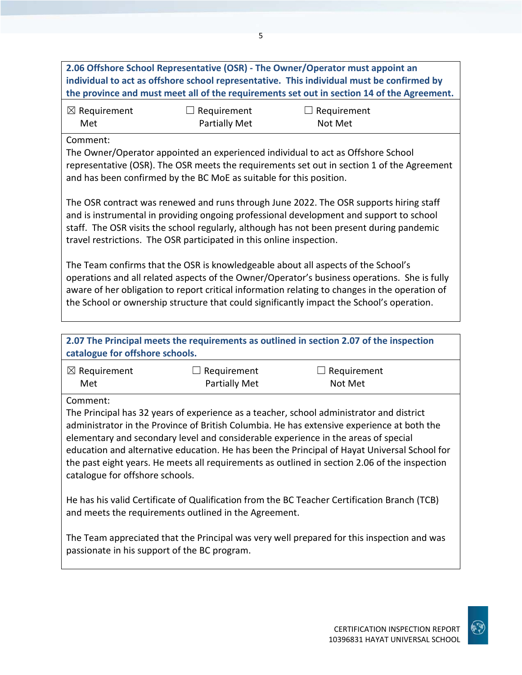**2.06 Offshore School Representative (OSR) - The Owner/Operator must appoint an individual to act as offshore school representative. This individual must be confirmed by the province and must meet all of the requirements set out in section 14 of the Agreement.** ☒ Requirement Met ☐ Requirement Partially Met  $\Box$  Requirement Not Met Comment: The Owner/Operator appointed an experienced individual to act as Offshore School representative (OSR). The OSR meets the requirements set out in section 1 of the Agreement and has been confirmed by the BC MoE as suitable for this position. The OSR contract was renewed and runs through June 2022. The OSR supports hiring staff and is instrumental in providing ongoing professional development and support to school staff. The OSR visits the school regularly, although has not been present during pandemic travel restrictions. The OSR participated in this online inspection. The Team confirms that the OSR is knowledgeable about all aspects of the School's operations and all related aspects of the Owner/Operator's business operations. She is fully aware of her obligation to report critical information relating to changes in the operation of the School or ownership structure that could significantly impact the School's operation. **2.07 The Principal meets the requirements as outlined in section 2.07 of the inspection catalogue for offshore schools.** ☒ Requirement Met  $\Box$  Requirement Partially Met  $\Box$  Requirement Not Met Comment: The Principal has 32 years of experience as a teacher, school administrator and district administrator in the Province of British Columbia. He has extensive experience at both the elementary and secondary level and considerable experience in the areas of special education and alternative education. He has been the Principal of Hayat Universal School for the past eight years. He meets all requirements as outlined in section 2.06 of the inspection catalogue for offshore schools. He has his valid Certificate of Qualification from the BC Teacher Certification Branch (TCB) and meets the requirements outlined in the Agreement. The Team appreciated that the Principal was very well prepared for this inspection and was passionate in his support of the BC program.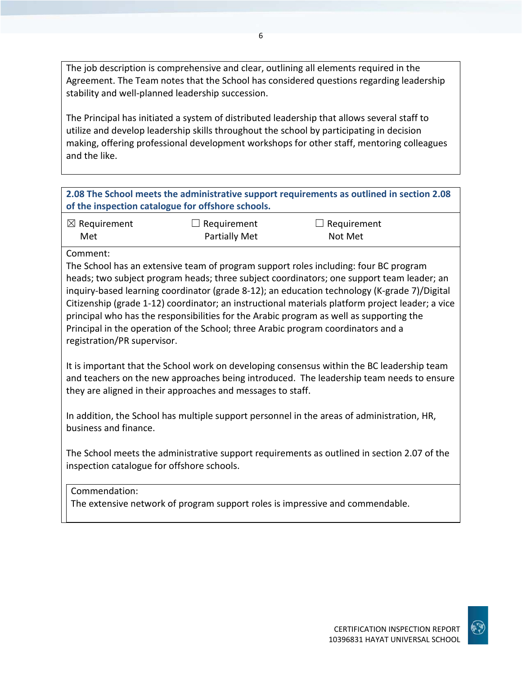The job description is comprehensive and clear, outlining all elements required in the Agreement. The Team notes that the School has considered questions regarding leadership stability and well-planned leadership succession.

The Principal has initiated a system of distributed leadership that allows several staff to utilize and develop leadership skills throughout the school by participating in decision making, offering professional development workshops for other staff, mentoring colleagues and the like.

| 2.08 The School meets the administrative support requirements as outlined in section 2.08 |
|-------------------------------------------------------------------------------------------|
| of the inspection catalogue for offshore schools.                                         |

| $\boxtimes$ Requirement | $\Box$ Requirement | $\Box$ Requirement |  |
|-------------------------|--------------------|--------------------|--|
| Met                     | Partially Met      | Not Met            |  |

Comment:

The School has an extensive team of program support roles including: four BC program heads; two subject program heads; three subject coordinators; one support team leader; an inquiry-based learning coordinator (grade 8-12); an education technology (K-grade 7)/Digital Citizenship (grade 1-12) coordinator; an instructional materials platform project leader; a vice principal who has the responsibilities for the Arabic program as well as supporting the Principal in the operation of the School; three Arabic program coordinators and a registration/PR supervisor.

It is important that the School work on developing consensus within the BC leadership team and teachers on the new approaches being introduced. The leadership team needs to ensure they are aligned in their approaches and messages to staff.

In addition, the School has multiple support personnel in the areas of administration, HR, business and finance.

The School meets the administrative support requirements as outlined in section 2.07 of the inspection catalogue for offshore schools.

Commendation:

The extensive network of program support roles is impressive and commendable.

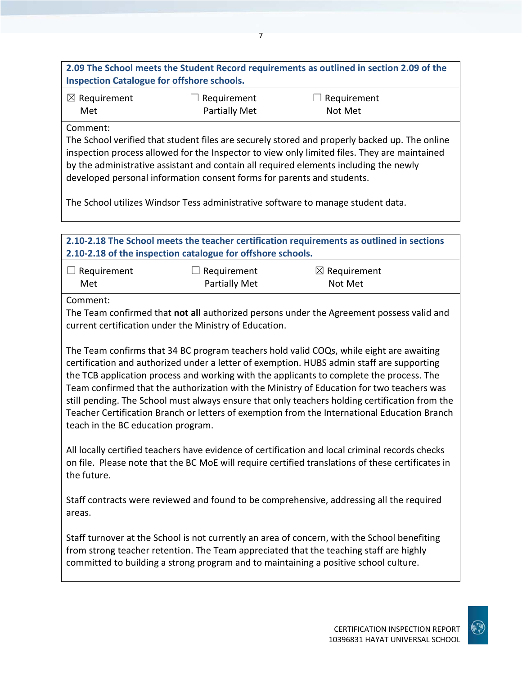**2.09 The School meets the Student Record requirements as outlined in section 2.09 of the Inspection Catalogue for offshore schools.**

| $\boxtimes$ Requirement | $\Box$ Requirement   | $\Box$ Requirement |
|-------------------------|----------------------|--------------------|
| Met                     | <b>Partially Met</b> | Not Met            |

Comment:

The School verified that student files are securely stored and properly backed up. The online inspection process allowed for the Inspector to view only limited files. They are maintained by the administrative assistant and contain all required elements including the newly developed personal information consent forms for parents and students.

The School utilizes Windsor Tess administrative software to manage student data.

**2.10-2.18 The School meets the teacher certification requirements as outlined in sections 2.10-2.18 of the inspection catalogue for offshore schools.**

| $\Box$ Requirement | $\Box$ Requirement   | $\boxtimes$ Requirement |  |
|--------------------|----------------------|-------------------------|--|
| Met                | <b>Partially Met</b> | Not Met                 |  |

Comment:

The Team confirmed that **not all** authorized persons under the Agreement possess valid and current certification under the Ministry of Education.

The Team confirms that 34 BC program teachers hold valid COQs, while eight are awaiting certification and authorized under a letter of exemption. HUBS admin staff are supporting the TCB application process and working with the applicants to complete the process. The Team confirmed that the authorization with the Ministry of Education for two teachers was still pending. The School must always ensure that only teachers holding certification from the Teacher Certification Branch or letters of exemption from the International Education Branch teach in the BC education program.

All locally certified teachers have evidence of certification and local criminal records checks on file. Please note that the BC MoE will require certified translations of these certificates in the future.

Staff contracts were reviewed and found to be comprehensive, addressing all the required areas.

Staff turnover at the School is not currently an area of concern, with the School benefiting from strong teacher retention. The Team appreciated that the teaching staff are highly committed to building a strong program and to maintaining a positive school culture.

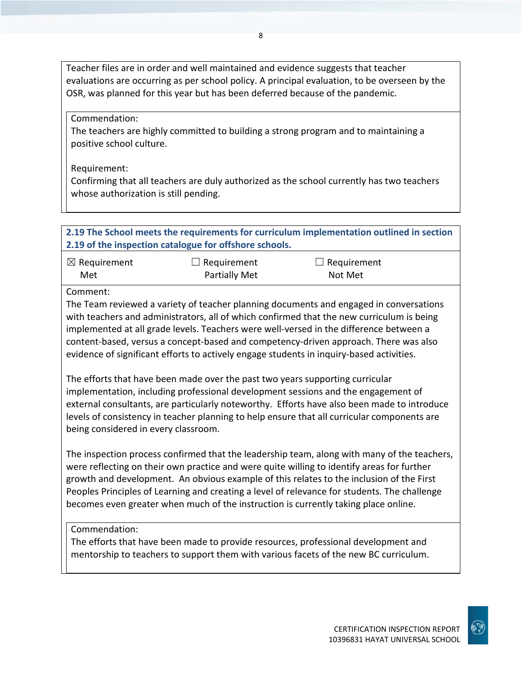Teacher files are in order and well maintained and evidence suggests that teacher evaluations are occurring as per school policy. A principal evaluation, to be overseen by the OSR, was planned for this year but has been deferred because of the pandemic.

Commendation:

The teachers are highly committed to building a strong program and to maintaining a positive school culture.

Requirement:

Confirming that all teachers are duly authorized as the school currently has two teachers whose authorization is still pending.

| 2.19 The School meets the requirements for curriculum implementation outlined in section<br>2.19 of the inspection catalogue for offshore schools. |                                                                               |                                                                                                                                                                                                                                                                                                                                                                                                                                                                   |  |
|----------------------------------------------------------------------------------------------------------------------------------------------------|-------------------------------------------------------------------------------|-------------------------------------------------------------------------------------------------------------------------------------------------------------------------------------------------------------------------------------------------------------------------------------------------------------------------------------------------------------------------------------------------------------------------------------------------------------------|--|
| $\boxtimes$ Requirement<br>Met                                                                                                                     | Requirement<br><b>Partially Met</b>                                           | Requirement<br>Not Met                                                                                                                                                                                                                                                                                                                                                                                                                                            |  |
| Comment:                                                                                                                                           |                                                                               | The Team reviewed a variety of teacher planning documents and engaged in conversations<br>with teachers and administrators, all of which confirmed that the new curriculum is being<br>implemented at all grade levels. Teachers were well-versed in the difference between a<br>content-based, versus a concept-based and competency-driven approach. There was also<br>evidence of significant efforts to actively engage students in inquiry-based activities. |  |
| being considered in every classroom.                                                                                                               | The efforts that have been made over the past two years supporting curricular | implementation, including professional development sessions and the engagement of<br>external consultants, are particularly noteworthy. Efforts have also been made to introduce<br>levels of consistency in teacher planning to help ensure that all curricular components are                                                                                                                                                                                   |  |
|                                                                                                                                                    |                                                                               | The inspection process confirmed that the leadership team, along with many of the teachers,<br>were reflecting on their own practice and were quite willing to identify areas for further                                                                                                                                                                                                                                                                         |  |

were reflecting on their own practice and were quite willing to identify areas for further growth and development. An obvious example of this relates to the inclusion of the First Peoples Principles of Learning and creating a level of relevance for students. The challenge becomes even greater when much of the instruction is currently taking place online.

#### Commendation:

The efforts that have been made to provide resources, professional development and mentorship to teachers to support them with various facets of the new BC curriculum.

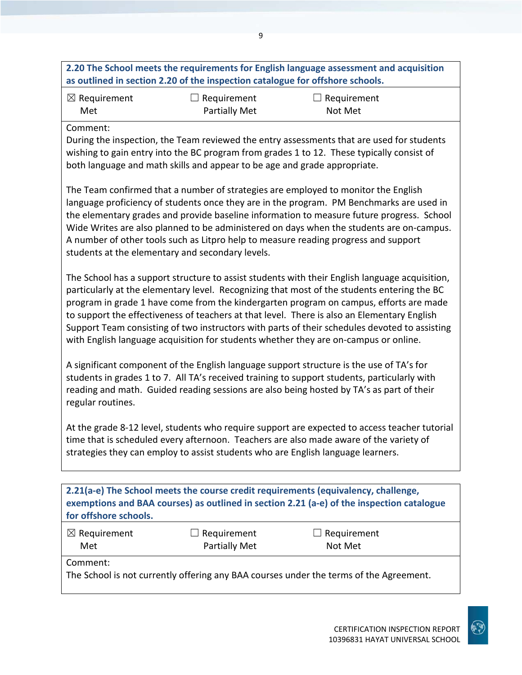#### **2.20 The School meets the requirements for English language assessment and acquisition as outlined in section 2.20 of the inspection catalogue for offshore schools.**

| $\boxtimes$ Requirement | $\Box$ Requirement   | $\Box$ Requirement |
|-------------------------|----------------------|--------------------|
| Met                     | <b>Partially Met</b> | Not Met            |

#### Comment:

During the inspection, the Team reviewed the entry assessments that are used for students wishing to gain entry into the BC program from grades 1 to 12. These typically consist of both language and math skills and appear to be age and grade appropriate.

The Team confirmed that a number of strategies are employed to monitor the English language proficiency of students once they are in the program. PM Benchmarks are used in the elementary grades and provide baseline information to measure future progress. School Wide Writes are also planned to be administered on days when the students are on-campus. A number of other tools such as Litpro help to measure reading progress and support students at the elementary and secondary levels.

The School has a support structure to assist students with their English language acquisition, particularly at the elementary level. Recognizing that most of the students entering the BC program in grade 1 have come from the kindergarten program on campus, efforts are made to support the effectiveness of teachers at that level. There is also an Elementary English Support Team consisting of two instructors with parts of their schedules devoted to assisting with English language acquisition for students whether they are on-campus or online.

A significant component of the English language support structure is the use of TA's for students in grades 1 to 7. All TA's received training to support students, particularly with reading and math. Guided reading sessions are also being hosted by TA's as part of their regular routines.

At the grade 8-12 level, students who require support are expected to access teacher tutorial time that is scheduled every afternoon. Teachers are also made aware of the variety of strategies they can employ to assist students who are English language learners.

| 2.21(a-e) The School meets the course credit requirements (equivalency, challenge,        |
|-------------------------------------------------------------------------------------------|
| exemptions and BAA courses) as outlined in section 2.21 (a-e) of the inspection catalogue |
| for offshore schools.                                                                     |

| $\boxtimes$ Requirement | $\Box$ Requirement   | $\Box$ Requirement |  |
|-------------------------|----------------------|--------------------|--|
| Met                     | <b>Partially Met</b> | Not Met            |  |
| Comment:                |                      |                    |  |

The School is not currently offering any BAA courses under the terms of the Agreement.

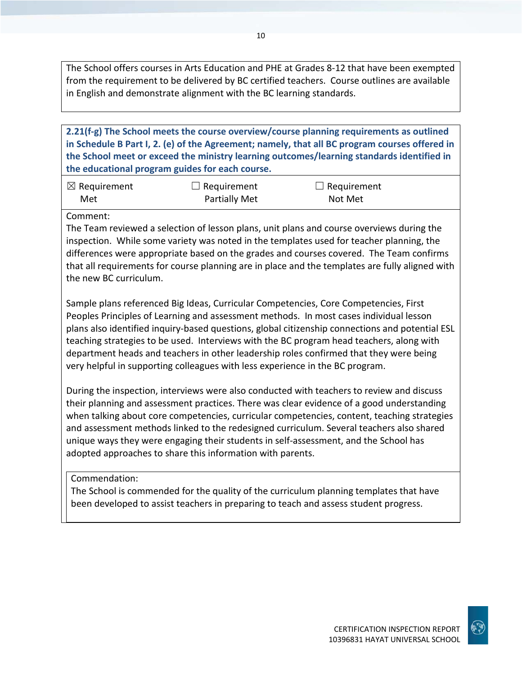The School offers courses in Arts Education and PHE at Grades 8-12 that have been exempted from the requirement to be delivered by BC certified teachers. Course outlines are available in English and demonstrate alignment with the BC learning standards.

**2.21(f-g) The School meets the course overview/course planning requirements as outlined in Schedule B Part I, 2. (e) of the Agreement; namely, that all BC program courses offered in the School meet or exceed the ministry learning outcomes/learning standards identified in the educational program guides for each course.**

| $\boxtimes$ Requirement | $\Box$ Requirement   | $\Box$ Requirement |
|-------------------------|----------------------|--------------------|
| Met                     | <b>Partially Met</b> | Not Met            |

#### Comment:

The Team reviewed a selection of lesson plans, unit plans and course overviews during the inspection. While some variety was noted in the templates used for teacher planning, the differences were appropriate based on the grades and courses covered. The Team confirms that all requirements for course planning are in place and the templates are fully aligned with the new BC curriculum.

Sample plans referenced Big Ideas, Curricular Competencies, Core Competencies, First Peoples Principles of Learning and assessment methods. In most cases individual lesson plans also identified inquiry-based questions, global citizenship connections and potential ESL teaching strategies to be used. Interviews with the BC program head teachers, along with department heads and teachers in other leadership roles confirmed that they were being very helpful in supporting colleagues with less experience in the BC program.

During the inspection, interviews were also conducted with teachers to review and discuss their planning and assessment practices. There was clear evidence of a good understanding when talking about core competencies, curricular competencies, content, teaching strategies and assessment methods linked to the redesigned curriculum. Several teachers also shared unique ways they were engaging their students in self-assessment, and the School has adopted approaches to share this information with parents.

#### Commendation:

The School is commended for the quality of the curriculum planning templates that have been developed to assist teachers in preparing to teach and assess student progress.

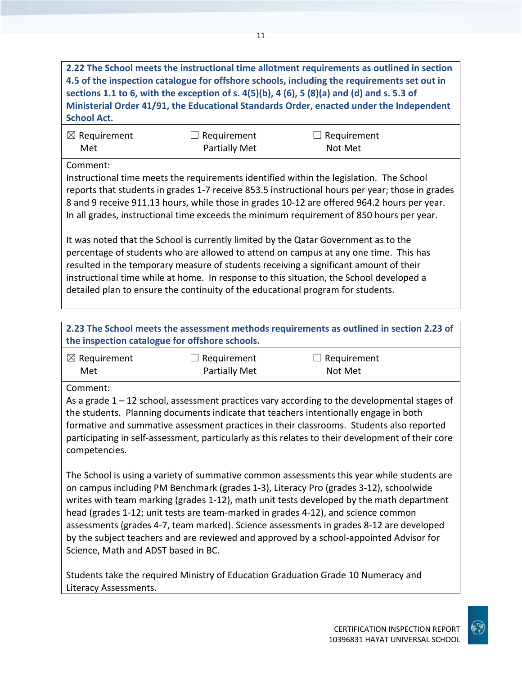**2.22 The School meets the instructional time allotment requirements as outlined in section 4.5 of the inspection catalogue for offshore schools, including the requirements set out in sections 1.1 to 6, with the exception of s. 4(5)(b), 4 (6), 5 (8)(a) and (d) and s. 5.3 of Ministerial Order 41/91, the Educational Standards Order, enacted under the Independent School Act.**

| $\boxtimes$ Requirement | $\Box$ Requirement   | $\Box$ Requirement |
|-------------------------|----------------------|--------------------|
| Met                     | <b>Partially Met</b> | Not Met            |

Comment:

Instructional time meets the requirements identified within the legislation. The School reports that students in grades 1-7 receive 853.5 instructional hours per year; those in grades 8 and 9 receive 911.13 hours, while those in grades 10-12 are offered 964.2 hours per year. In all grades, instructional time exceeds the minimum requirement of 850 hours per year.

It was noted that the School is currently limited by the Qatar Government as to the percentage of students who are allowed to attend on campus at any one time. This has resulted in the temporary measure of students receiving a significant amount of their instructional time while at home. In response to this situation, the School developed a detailed plan to ensure the continuity of the educational program for students.

**2.23 The School meets the assessment methods requirements as outlined in section 2.23 of the inspection catalogue for offshore schools.**

| $\boxtimes$ Requirement | $\Box$ Requirement   | $\Box$ Requirement |
|-------------------------|----------------------|--------------------|
| Met                     | <b>Partially Met</b> | Not Met            |

Comment:

As a grade  $1 - 12$  school, assessment practices vary according to the developmental stages of the students. Planning documents indicate that teachers intentionally engage in both formative and summative assessment practices in their classrooms. Students also reported participating in self-assessment, particularly as this relates to their development of their core competencies.

The School is using a variety of summative common assessments this year while students are on campus including PM Benchmark (grades 1-3), Literacy Pro (grades 3-12), schoolwide writes with team marking (grades 1-12), math unit tests developed by the math department head (grades 1-12; unit tests are team-marked in grades 4-12), and science common assessments (grades 4-7, team marked). Science assessments in grades 8-12 are developed by the subject teachers and are reviewed and approved by a school-appointed Advisor for Science, Math and ADST based in BC.

Students take the required Ministry of Education Graduation Grade 10 Numeracy and Literacy Assessments.

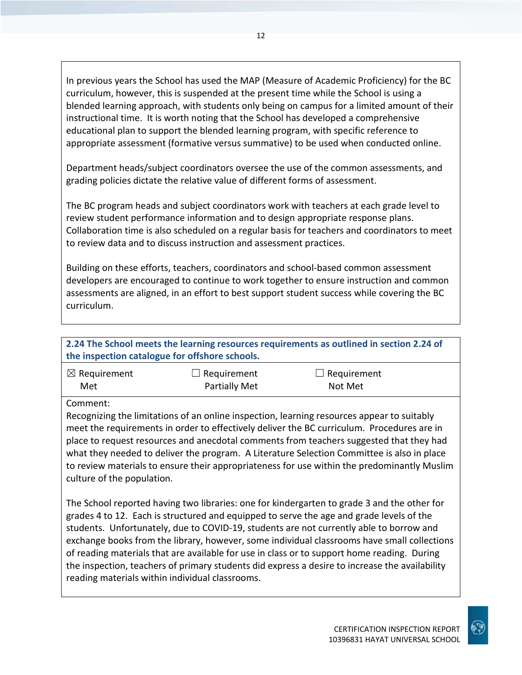In previous years the School has used the MAP (Measure of Academic Proficiency) for the BC curriculum, however, this is suspended at the present time while the School is using a blended learning approach, with students only being on campus for a limited amount of their instructional time. It is worth noting that the School has developed a comprehensive educational plan to support the blended learning program, with specific reference to appropriate assessment (formative versus summative) to be used when conducted online.

Department heads/subject coordinators oversee the use of the common assessments, and grading policies dictate the relative value of different forms of assessment.

The BC program heads and subject coordinators work with teachers at each grade level to review student performance information and to design appropriate response plans. Collaboration time is also scheduled on a regular basis for teachers and coordinators to meet to review data and to discuss instruction and assessment practices.

Building on these efforts, teachers, coordinators and school-based common assessment developers are encouraged to continue to work together to ensure instruction and common assessments are aligned, in an effort to best support student success while covering the BC curriculum.

#### **2.24 The School meets the learning resources requirements as outlined in section 2.24 of the inspection catalogue for offshore schools.**

| $\boxtimes$ Requirement | $\Box$ Requirement   | $\Box$ Requirement |
|-------------------------|----------------------|--------------------|
| Met                     | <b>Partially Met</b> | Not Met            |

Comment:

Recognizing the limitations of an online inspection, learning resources appear to suitably meet the requirements in order to effectively deliver the BC curriculum. Procedures are in place to request resources and anecdotal comments from teachers suggested that they had what they needed to deliver the program. A Literature Selection Committee is also in place to review materials to ensure their appropriateness for use within the predominantly Muslim culture of the population.

The School reported having two libraries: one for kindergarten to grade 3 and the other for grades 4 to 12. Each is structured and equipped to serve the age and grade levels of the students. Unfortunately, due to COVID-19, students are not currently able to borrow and exchange books from the library, however, some individual classrooms have small collections of reading materials that are available for use in class or to support home reading. During the inspection, teachers of primary students did express a desire to increase the availability reading materials within individual classrooms.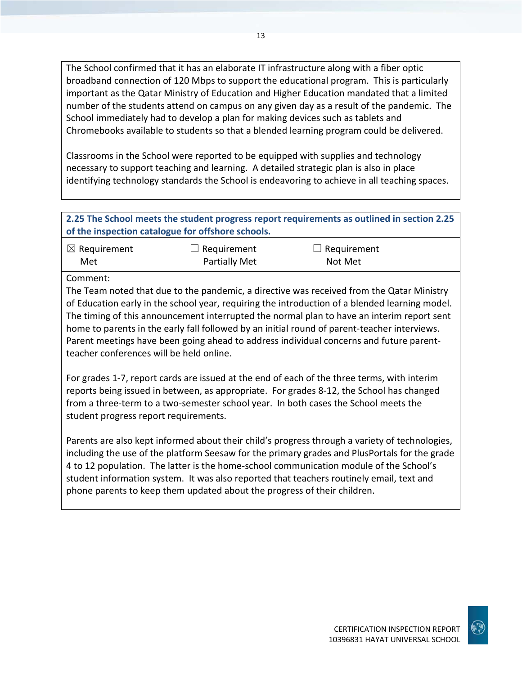The School confirmed that it has an elaborate IT infrastructure along with a fiber optic broadband connection of 120 Mbps to support the educational program. This is particularly important as the Qatar Ministry of Education and Higher Education mandated that a limited number of the students attend on campus on any given day as a result of the pandemic. The School immediately had to develop a plan for making devices such as tablets and Chromebooks available to students so that a blended learning program could be delivered.

Classrooms in the School were reported to be equipped with supplies and technology necessary to support teaching and learning. A detailed strategic plan is also in place identifying technology standards the School is endeavoring to achieve in all teaching spaces.

#### **2.25 The School meets the student progress report requirements as outlined in section 2.25 of the inspection catalogue for offshore schools.**

| $\boxtimes$ Requirement | $\Box$ Requirement | $\Box$ Requirement |
|-------------------------|--------------------|--------------------|
| Met                     | Partially Met      | Not Met            |

Comment:

The Team noted that due to the pandemic, a directive was received from the Qatar Ministry of Education early in the school year, requiring the introduction of a blended learning model. The timing of this announcement interrupted the normal plan to have an interim report sent home to parents in the early fall followed by an initial round of parent-teacher interviews. Parent meetings have been going ahead to address individual concerns and future parentteacher conferences will be held online.

For grades 1-7, report cards are issued at the end of each of the three terms, with interim reports being issued in between, as appropriate. For grades 8-12, the School has changed from a three-term to a two-semester school year. In both cases the School meets the student progress report requirements.

Parents are also kept informed about their child's progress through a variety of technologies, including the use of the platform Seesaw for the primary grades and PlusPortals for the grade 4 to 12 population. The latter is the home-school communication module of the School's student information system. It was also reported that teachers routinely email, text and phone parents to keep them updated about the progress of their children.

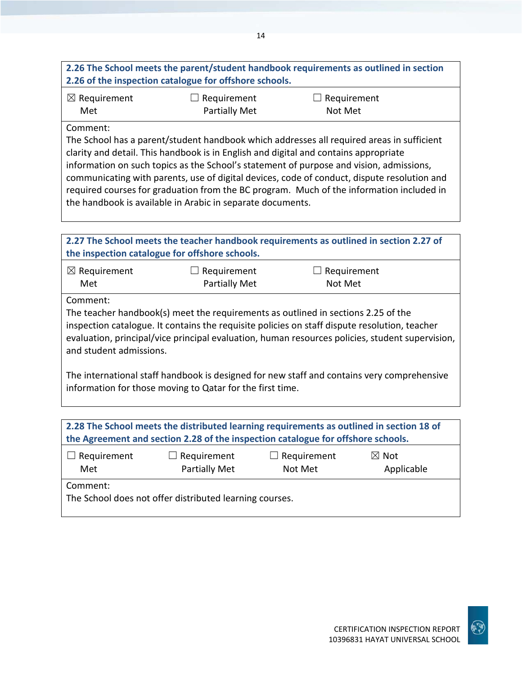### **2.26 The School meets the parent/student handbook requirements as outlined in section 2.26 of the inspection catalogue for offshore schools.**

| $\boxtimes$ Requirement | $\Box$ Requirement | $\Box$ Requirement |
|-------------------------|--------------------|--------------------|
| Met                     | Partially Met      | Not Met            |

#### Comment:

The School has a parent/student handbook which addresses all required areas in sufficient clarity and detail. This handbook is in English and digital and contains appropriate information on such topics as the School's statement of purpose and vision, admissions, communicating with parents, use of digital devices, code of conduct, dispute resolution and required courses for graduation from the BC program. Much of the information included in the handbook is available in Arabic in separate documents.

| 2.27 The School meets the teacher handbook requirements as outlined in section 2.27 of     |                                                                                               |                    |                                                                                                 |
|--------------------------------------------------------------------------------------------|-----------------------------------------------------------------------------------------------|--------------------|-------------------------------------------------------------------------------------------------|
|                                                                                            | the inspection catalogue for offshore schools.                                                |                    |                                                                                                 |
| $\boxtimes$ Requirement                                                                    | Requirement                                                                                   |                    | Requirement                                                                                     |
| Met                                                                                        | <b>Partially Met</b>                                                                          | Not Met            |                                                                                                 |
| Comment:                                                                                   |                                                                                               |                    |                                                                                                 |
|                                                                                            | The teacher handbook(s) meet the requirements as outlined in sections 2.25 of the             |                    |                                                                                                 |
|                                                                                            | inspection catalogue. It contains the requisite policies on staff dispute resolution, teacher |                    |                                                                                                 |
|                                                                                            |                                                                                               |                    | evaluation, principal/vice principal evaluation, human resources policies, student supervision, |
| and student admissions.                                                                    |                                                                                               |                    |                                                                                                 |
|                                                                                            |                                                                                               |                    |                                                                                                 |
|                                                                                            |                                                                                               |                    |                                                                                                 |
| The international staff handbook is designed for new staff and contains very comprehensive |                                                                                               |                    |                                                                                                 |
| information for those moving to Qatar for the first time.                                  |                                                                                               |                    |                                                                                                 |
|                                                                                            |                                                                                               |                    |                                                                                                 |
|                                                                                            |                                                                                               |                    |                                                                                                 |
| 2.28 The School meets the distributed learning requirements as outlined in section 18 of   |                                                                                               |                    |                                                                                                 |
| the Agreement and section 2.28 of the inspection catalogue for offshore schools.           |                                                                                               |                    |                                                                                                 |
| $\Box$ Requirement                                                                         | Requirement                                                                                   | $\Box$ Requirement | $\boxtimes$ Not                                                                                 |
| Met                                                                                        | <b>Partially Met</b>                                                                          | Not Met            | Applicable                                                                                      |

Comment:

The School does not offer distributed learning courses.